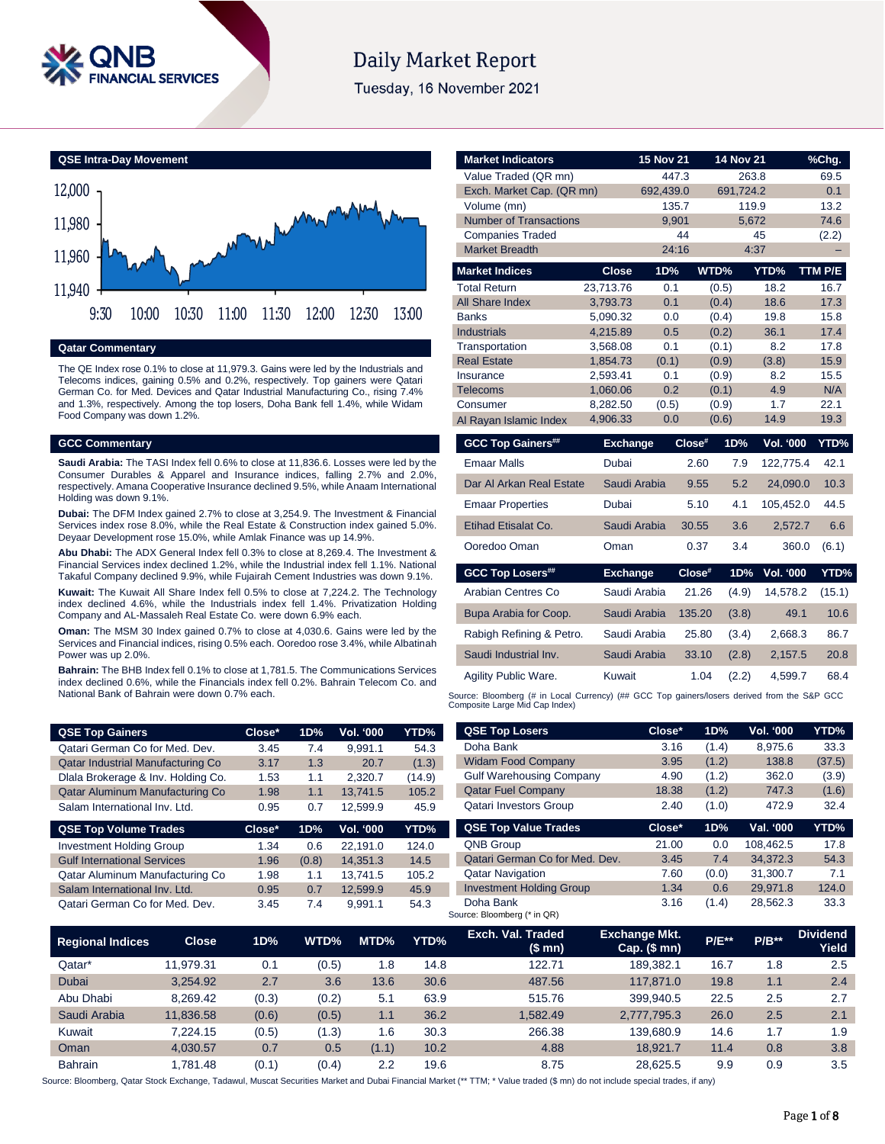

# **Daily Market Report**

Tuesday, 16 November 2021



**Qatar Commentary**

The QE Index rose 0.1% to close at 11,979.3. Gains were led by the Industrials and Telecoms indices, gaining 0.5% and 0.2%, respectively. Top gainers were Qatari German Co. for Med. Devices and Qatar Industrial Manufacturing Co., rising 7.4% and 1.3%, respectively. Among the top losers, Doha Bank fell 1.4%, while Widam Food Company was down 1.2%.

#### **GCC Commentary**

**Saudi Arabia:** The TASI Index fell 0.6% to close at 11,836.6. Losses were led by the Consumer Durables & Apparel and Insurance indices, falling 2.7% and 2.0%, respectively. Amana Cooperative Insurance declined 9.5%, while Anaam International Holding was down 9.1%.

**Dubai:** The DFM Index gained 2.7% to close at 3,254.9. The Investment & Financial Services index rose 8.0%, while the Real Estate & Construction index gained 5.0%. Deyaar Development rose 15.0%, while Amlak Finance was up 14.9%.

**Abu Dhabi:** The ADX General Index fell 0.3% to close at 8,269.4. The Investment & Financial Services index declined 1.2%, while the Industrial index fell 1.1%. National Takaful Company declined 9.9%, while Fujairah Cement Industries was down 9.1%.

**Kuwait:** The Kuwait All Share Index fell 0.5% to close at 7,224.2. The Technology index declined 4.6%, while the Industrials index fell 1.4%. Privatization Holding Company and AL-Massaleh Real Estate Co. were down 6.9% each.

**Oman:** The MSM 30 Index gained 0.7% to close at 4,030.6. Gains were led by the Services and Financial indices, rising 0.5% each. Ooredoo rose 3.4%, while Albatinah Power was up 2.0%.

**Bahrain:** The BHB Index fell 0.1% to close at 1,781.5. The Communications Services index declined 0.6%, while the Financials index fell 0.2%. Bahrain Telecom Co. and National Bank of Bahrain were down 0.7% each.

| <b>QSE Top Gainers</b>             | Close* | 1D% | Vol. '000 | YTD%   |
|------------------------------------|--------|-----|-----------|--------|
| Qatari German Co for Med. Dev.     | 3.45   | 7.4 | 9.991.1   | 54.3   |
| Qatar Industrial Manufacturing Co  | 3.17   | 1.3 | 20.7      | (1.3)  |
| Dlala Brokerage & Inv. Holding Co. | 1.53   | 1.1 | 2.320.7   | (14.9) |
| Qatar Aluminum Manufacturing Co    | 1.98   | 1.1 | 13.741.5  | 105.2  |
| Salam International Inv. Ltd.      | 0.95   | 0.7 | 12.599.9  | 45.9   |

| <b>QSE Top Volume Trades</b>       | $Close*$ | 1D%   | <b>Vol. '000</b> | YTD%  |
|------------------------------------|----------|-------|------------------|-------|
| <b>Investment Holding Group</b>    | 1.34     | 0.6   | 22.191.0         | 124.0 |
| <b>Gulf International Services</b> | 1.96     | (0.8) | 14.351.3         | 14.5  |
| Qatar Aluminum Manufacturing Co    | 1.98     | 1.1   | 13.741.5         | 105.2 |
| Salam International Inv. Ltd.      | 0.95     | 0.7   | 12.599.9         | 45.9  |
| Qatari German Co for Med. Dev.     | 3.45     | 7.4   | 9.991.1          | 54.3  |

| <b>Market Indicators</b>      |                      | <b>15 Nov 21</b> |        | <b>14 Nov 21</b> |                  | %Chg.       |
|-------------------------------|----------------------|------------------|--------|------------------|------------------|-------------|
| Value Traded (QR mn)          |                      |                  | 447.3  | 263.8            |                  | 69.5        |
| Exch. Market Cap. (QR mn)     |                      | 692,439.0        |        | 691,724.2        |                  | 0.1         |
| Volume (mn)                   |                      |                  | 135.7  | 119.9            |                  | 13.2        |
| <b>Number of Transactions</b> |                      |                  | 9,901  | 5,672            |                  | 74.6        |
| <b>Companies Traded</b>       |                      |                  | 44     |                  | 45               | (2.2)       |
| <b>Market Breadth</b>         |                      |                  | 24:16  |                  | 4:37             |             |
| <b>Market Indices</b>         | <b>Close</b>         | 1D%              |        | WTD%             | YTD%             | TTM P/E     |
| <b>Total Return</b>           | 23,713.76            | 0.1              |        | (0.5)            | 18.2             | 16.7        |
| All Share Index               | 3,793.73             | 0.1              |        | (0.4)            | 18.6             | 17.3        |
| <b>Banks</b>                  | 5,090.32             | 0.0              |        | (0.4)            | 19.8             | 15.8        |
| <b>Industrials</b>            | 4,215.89             | 0.5              |        | (0.2)            | 36.1             | 17.4        |
| Transportation                | 3,568.08             | 0.1              |        | (0.1)            | 8.2              | 17.8        |
| <b>Real Estate</b>            | 1,854.73             | (0.1)            |        | (0.9)            | (3.8)            | 15.9        |
| Insurance                     | 2,593.41             | 0.1<br>0.2       |        | (0.9)            | 8.2<br>4.9       | 15.5<br>N/A |
| Telecoms<br>Consumer          | 1,060.06<br>8,282.50 | (0.5)            |        | (0.1)<br>(0.9)   | 1.7              | 22.1        |
| Al Rayan Islamic Index        | 4,906.33             | 0.0              |        | (0.6)            | 14.9             | 19.3        |
|                               |                      |                  |        |                  |                  |             |
| <b>GCC Top Gainers##</b>      | <b>Exchange</b>      |                  | Close# | 1D%              | <b>Vol. '000</b> | YTD%        |
| <b>Emaar Malls</b>            | Dubai                |                  | 2.60   | 7.9              | 122,775.4        | 42.1        |
| Dar Al Arkan Real Estate      | Saudi Arabia         |                  | 9.55   | 5.2              | 24,090.0         | 10.3        |
| <b>Emaar Properties</b>       | Dubai                |                  | 5.10   | 4.1              | 105,452.0        | 44.5        |
| Etihad Etisalat Co.           | Saudi Arabia         |                  | 30.55  | 3.6              | 2,572.7          | 6.6         |
| Ooredoo Oman                  | Oman                 |                  | 0.37   | 3.4              | 360.0            | (6.1)       |
| <b>GCC Top Losers##</b>       | <b>Exchange</b>      |                  | Close# | 1D%              | Vol. '000        | YTD%        |
| Arabian Centres Co            | Saudi Arabia         |                  | 21.26  | (4.9)            | 14,578.2         | (15.1)      |
| Bupa Arabia for Coop.         | Saudi Arabia         |                  | 135.20 | (3.8)            | 49.1             | 10.6        |
| Rabigh Refining & Petro.      | Saudi Arabia         |                  | 25.80  | (3.4)            | 2,668.3          | 86.7        |
| Saudi Industrial Inv.         | Saudi Arabia         |                  | 33.10  | (2.8)            | 2,157.5          | 20.8        |
| Agility Public Ware.          | Kuwait               |                  | 1.04   | (2.2)            | 4,599.7          | 68.4        |

Source: Bloomberg (# in Local Currency) (## GCC Top gainers/losers derived from the S&P GCC Composite Large Mid Cap Index)

| <b>QSE Top Losers</b>           | Close* | 1D%   | <b>Vol. '000</b> | YTD%   |
|---------------------------------|--------|-------|------------------|--------|
| Doha Bank                       | 3.16   | (1.4) | 8.975.6          | 33.3   |
| <b>Widam Food Company</b>       | 3.95   | (1.2) | 138.8            | (37.5) |
| <b>Gulf Warehousing Company</b> | 4.90   | (1.2) | 362.0            | (3.9)  |
| <b>Qatar Fuel Company</b>       | 18.38  | (1.2) | 747.3            | (1.6)  |
| Qatari Investors Group          | 2.40   | (1.0) | 472.9            | 32.4   |
|                                 |        |       |                  |        |
|                                 |        |       |                  |        |
| <b>QSE Top Value Trades</b>     | Close* | 1D%   | Val. '000        | YTD%   |
| <b>QNB Group</b>                | 21.00  | 0.0   | 108.462.5        | 17.8   |
| Qatari German Co for Med. Dev.  | 3.45   | 7.4   | 34.372.3         | 54.3   |
| <b>Qatar Navigation</b>         | 7.60   | (0.0) | 31.300.7         | 7.1    |
| <b>Investment Holding Group</b> | 1.34   | 0.6   | 29.971.8         | 124.0  |

| <b>Regional Indices</b> | Close <sub>1</sub> | 1D%   | WTD%  | MTD%  | YTD% | Exch. Val. Traded<br>(\$ mn) | <b>Exchange Mkt.</b><br>Cap. $($mn)$ | <b>P/E**</b> | $P/B**$ | <b>Dividend</b><br>Yield |
|-------------------------|--------------------|-------|-------|-------|------|------------------------------|--------------------------------------|--------------|---------|--------------------------|
| Qatar*                  | 11.979.31          | 0.1   | (0.5) | 1.8   | 14.8 | 122.71                       | 189.382.1                            | 16.7         | 1.8     | 2.5                      |
| Dubai                   | 3.254.92           | 2.7   | 3.6   | 13.6  | 30.6 | 487.56                       | 117.871.0                            | 19.8         | 1.1     | 2.4                      |
| Abu Dhabi               | 8.269.42           | (0.3) | (0.2) | 5.1   | 63.9 | 515.76                       | 399.940.5                            | 22.5         | 2.5     | 2.7                      |
| Saudi Arabia            | 11.836.58          | (0.6) | (0.5) | 1.1   | 36.2 | 1.582.49                     | 2.777.795.3                          | 26.0         | 2.5     | 2.1                      |
| Kuwait                  | 7.224.15           | (0.5) | (1.3) | 1.6   | 30.3 | 266.38                       | 139.680.9                            | 14.6         | 1.7     | 1.9                      |
| Oman                    | 4.030.57           | 0.7   | 0.5   | (1.1) | 10.2 | 4.88                         | 18.921.7                             | 11.4         | 0.8     | 3.8                      |
| <b>Bahrain</b>          | .781.48            | (0.1) | (0.4) | 2.2   | 19.6 | 8.75                         | 28.625.5                             | 9.9          | 0.9     | 3.5                      |

Source: Bloomberg (\* in QR)

Source: Bloomberg, Qatar Stock Exchange, Tadawul, Muscat Securities Market and Dubai Financial Market (\*\* TTM; \* Value traded (\$ mn) do not include special trades, if any)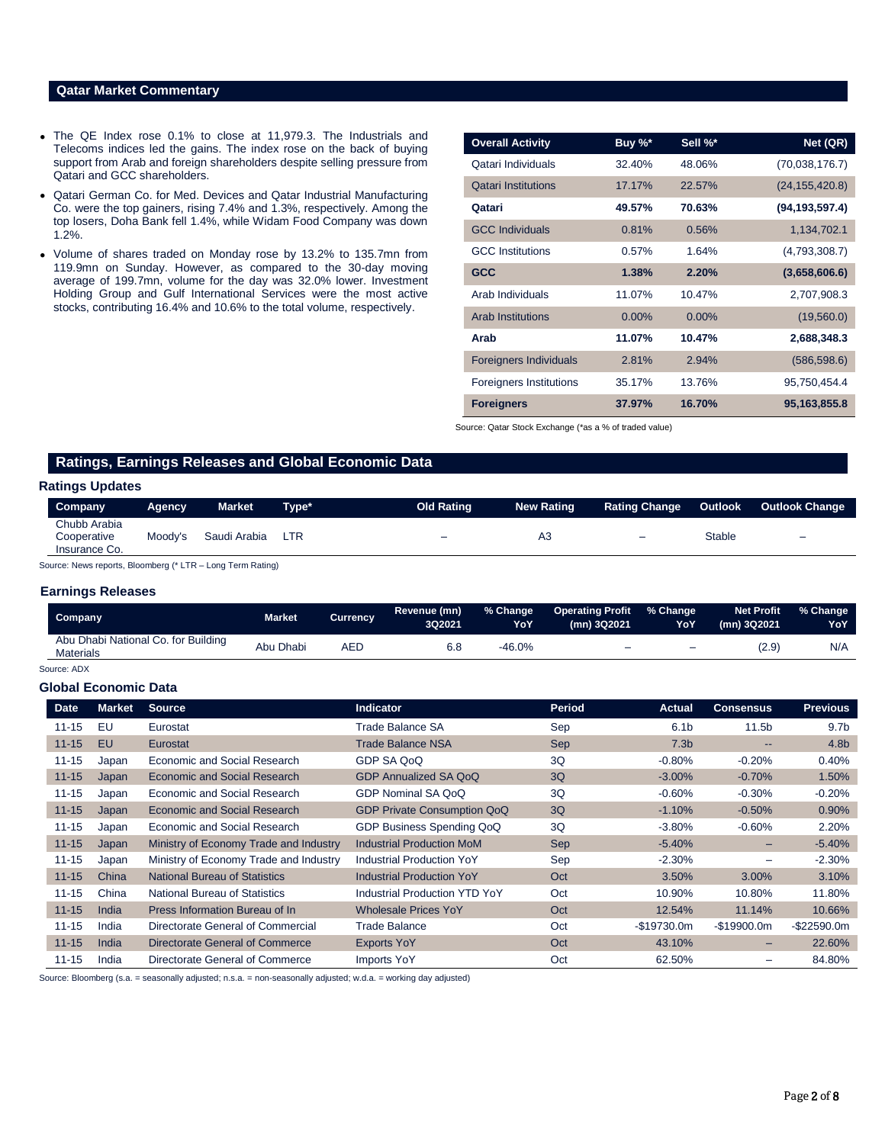# **Qatar Market Commentary**

- The QE Index rose 0.1% to close at 11,979.3. The Industrials and Telecoms indices led the gains. The index rose on the back of buying support from Arab and foreign shareholders despite selling pressure from Qatari and GCC shareholders.
- Qatari German Co. for Med. Devices and Qatar Industrial Manufacturing Co. were the top gainers, rising 7.4% and 1.3%, respectively. Among the top losers, Doha Bank fell 1.4%, while Widam Food Company was down 1.2%.
- Volume of shares traded on Monday rose by 13.2% to 135.7mn from 119.9mn on Sunday. However, as compared to the 30-day moving average of 199.7mn, volume for the day was 32.0% lower. Investment Holding Group and Gulf International Services were the most active stocks, contributing 16.4% and 10.6% to the total volume, respectively.

| <b>Overall Activity</b>       | Buy %*   | Sell %*  | Net (QR)         |
|-------------------------------|----------|----------|------------------|
| Qatari Individuals            | 32.40%   | 48.06%   | (70,038,176.7)   |
| <b>Qatari Institutions</b>    | 17.17%   | 22.57%   | (24, 155, 420.8) |
| Qatari                        | 49.57%   | 70.63%   | (94, 193, 597.4) |
| <b>GCC Individuals</b>        | 0.81%    | 0.56%    | 1,134,702.1      |
| <b>GCC</b> Institutions       | 0.57%    | 1.64%    | (4,793,308.7)    |
| <b>GCC</b>                    | 1.38%    | 2.20%    | (3,658,606.6)    |
| Arab Individuals              | 11.07%   | 10.47%   | 2,707,908.3      |
| <b>Arab Institutions</b>      | $0.00\%$ | $0.00\%$ | (19,560.0)       |
| Arab                          | 11.07%   | 10.47%   | 2,688,348.3      |
| <b>Foreigners Individuals</b> | 2.81%    | 2.94%    | (586, 598.6)     |
| Foreigners Institutions       | 35.17%   | 13.76%   | 95,750,454.4     |
| <b>Foreigners</b>             | 37.97%   | 16.70%   | 95,163,855.8     |

Source: Qatar Stock Exchange (\*as a % of traded value)

# **Ratings, Earnings Releases and Global Economic Data**

#### **Ratings Updates**

|                                                         | <b>Market</b><br>Aqency | Tvpe* | <b>Old Rating</b>        | <b>New Rating</b> | <b>Rating Change</b>     | Outlook       | <b>Outlook Change</b>    |
|---------------------------------------------------------|-------------------------|-------|--------------------------|-------------------|--------------------------|---------------|--------------------------|
| Chubb Arabia<br>Moody's<br>Cooperative<br>Insurance Co. | Saudi Arabia            | LTR   | $\overline{\phantom{0}}$ | A3                | $\overline{\phantom{0}}$ | <b>Stable</b> | $\overline{\phantom{0}}$ |

Source: News reports, Bloomberg (\* LTR – Long Term Rating)

## **Earnings Releases**

| Company                                                 | <b>Market</b> | Currencv | Revenue (mn)<br>3Q2021 | % Change<br>YoY | Operating Profit % Change<br>(mn) 3Q2021 | YoY      | Net Profit<br>(mn) 3Q2021 | % Change<br>YoY |
|---------------------------------------------------------|---------------|----------|------------------------|-----------------|------------------------------------------|----------|---------------------------|-----------------|
| Abu Dhabi National Co. for Building<br><b>Materials</b> | Abu Dhabi     | AED      | 6.8                    | $-46.0%$        | -                                        | $\equiv$ | (2.9)                     | N/A             |

# Source: ADX

# **Global Economic Data**

| <b>Date</b> | <b>Market</b> | <b>Source</b>                          | <b>Indicator</b>                     | Period     | <b>Actual</b>    | <b>Consensus</b>         | <b>Previous</b>  |
|-------------|---------------|----------------------------------------|--------------------------------------|------------|------------------|--------------------------|------------------|
| $11 - 15$   | EU            | Eurostat                               | Trade Balance SA                     | Sep        | 6.1 <sub>b</sub> | 11.5 <sub>b</sub>        | 9.7 <sub>b</sub> |
| $11 - 15$   | EU            | Eurostat                               | <b>Trade Balance NSA</b>             | Sep        | 7.3 <sub>b</sub> | $\qquad \qquad \cdots$   | 4.8 <sub>b</sub> |
| $11 - 15$   | Japan         | Economic and Social Research           | GDP SA QoQ                           | 3Q         | $-0.80%$         | $-0.20%$                 | 0.40%            |
| $11 - 15$   | Japan         | Economic and Social Research           | GDP Annualized SA QoQ                | 3Q         | $-3.00\%$        | $-0.70%$                 | 1.50%            |
| $11 - 15$   | Japan         | Economic and Social Research           | GDP Nominal SA QoQ                   | 3Q         | $-0.60%$         | $-0.30%$                 | $-0.20%$         |
| $11 - 15$   | Japan         | Economic and Social Research           | <b>GDP Private Consumption QoQ</b>   | 3Q         | $-1.10%$         | $-0.50%$                 | 0.90%            |
| $11 - 15$   | Japan         | Economic and Social Research           | GDP Business Spending QoQ            | 3Q         | $-3.80%$         | $-0.60%$                 | 2.20%            |
| $11 - 15$   | Japan         | Ministry of Economy Trade and Industry | <b>Industrial Production MoM</b>     | <b>Sep</b> | $-5.40%$         | $-$                      | $-5.40%$         |
| $11 - 15$   | Japan         | Ministry of Economy Trade and Industry | <b>Industrial Production YoY</b>     | Sep        | $-2.30%$         |                          | $-2.30%$         |
| $11 - 15$   | China         | <b>National Bureau of Statistics</b>   | <b>Industrial Production YoY</b>     | Oct        | 3.50%            | $3.00\%$                 | 3.10%            |
| $11 - 15$   | China         | <b>National Bureau of Statistics</b>   | <b>Industrial Production YTD YoY</b> | Oct        | 10.90%           | 10.80%                   | 11.80%           |
| $11 - 15$   | India         | Press Information Bureau of In         | <b>Wholesale Prices YoY</b>          | Oct        | 12.54%           | 11.14%                   | 10.66%           |
| $11 - 15$   | India         | Directorate General of Commercial      | <b>Trade Balance</b>                 | Oct        | $-$19730.0m$     | $-$19900.0m$             | $-$ \$22590.0m   |
| $11 - 15$   | India         | Directorate General of Commerce        | <b>Exports YoY</b>                   | Oct        | 43.10%           | $\overline{\phantom{0}}$ | 22.60%           |
| $11 - 15$   | India         | Directorate General of Commerce        | <b>Imports YoY</b>                   | Oct        | 62.50%           |                          | 84.80%           |

Source: Bloomberg (s.a. = seasonally adjusted; n.s.a. = non-seasonally adjusted; w.d.a. = working day adjusted)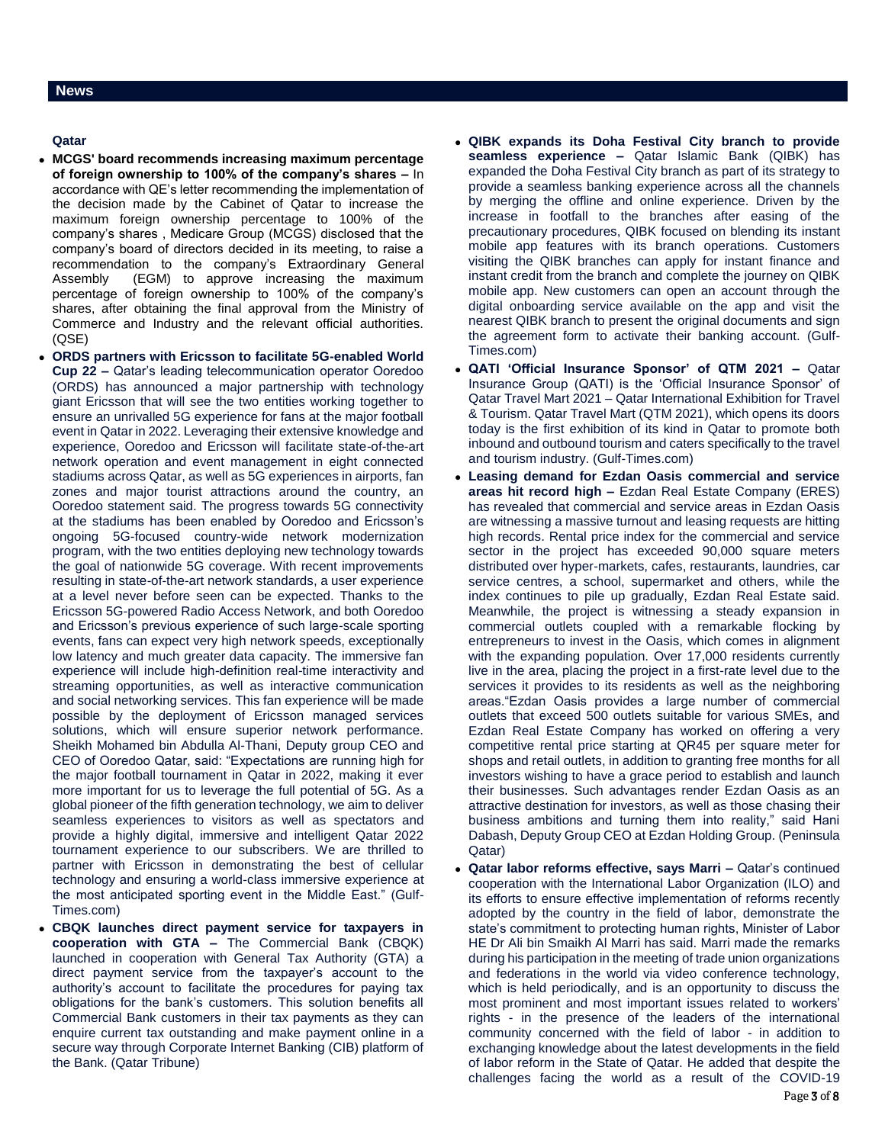# **Qatar**

- **MCGS' board recommends increasing maximum percentage of foreign ownership to 100% of the company's shares –** In accordance with QE's letter recommending the implementation of the decision made by the Cabinet of Qatar to increase the maximum foreign ownership percentage to 100% of the company's shares , Medicare Group (MCGS) disclosed that the company's board of directors decided in its meeting, to raise a recommendation to the company's Extraordinary General Assembly (EGM) to approve increasing the maximum percentage of foreign ownership to 100% of the company's shares, after obtaining the final approval from the Ministry of Commerce and Industry and the relevant official authorities. (QSE)
- **ORDS partners with Ericsson to facilitate 5G-enabled World Cup 22 –** Qatar's leading telecommunication operator Ooredoo (ORDS) has announced a major partnership with technology giant Ericsson that will see the two entities working together to ensure an unrivalled 5G experience for fans at the major football event in Qatar in 2022. Leveraging their extensive knowledge and experience, Ooredoo and Ericsson will facilitate state-of-the-art network operation and event management in eight connected stadiums across Qatar, as well as 5G experiences in airports, fan zones and major tourist attractions around the country, an Ooredoo statement said. The progress towards 5G connectivity at the stadiums has been enabled by Ooredoo and Ericsson's ongoing 5G-focused country-wide network modernization program, with the two entities deploying new technology towards the goal of nationwide 5G coverage. With recent improvements resulting in state-of-the-art network standards, a user experience at a level never before seen can be expected. Thanks to the Ericsson 5G-powered Radio Access Network, and both Ooredoo and Ericsson's previous experience of such large-scale sporting events, fans can expect very high network speeds, exceptionally low latency and much greater data capacity. The immersive fan experience will include high-definition real-time interactivity and streaming opportunities, as well as interactive communication and social networking services. This fan experience will be made possible by the deployment of Ericsson managed services solutions, which will ensure superior network performance. Sheikh Mohamed bin Abdulla Al-Thani, Deputy group CEO and CEO of Ooredoo Qatar, said: "Expectations are running high for the major football tournament in Qatar in 2022, making it ever more important for us to leverage the full potential of 5G. As a global pioneer of the fifth generation technology, we aim to deliver seamless experiences to visitors as well as spectators and provide a highly digital, immersive and intelligent Qatar 2022 tournament experience to our subscribers. We are thrilled to partner with Ericsson in demonstrating the best of cellular technology and ensuring a world-class immersive experience at the most anticipated sporting event in the Middle East." (Gulf-Times.com)
- **CBQK launches direct payment service for taxpayers in cooperation with GTA –** The Commercial Bank (CBQK) launched in cooperation with General Tax Authority (GTA) a direct payment service from the taxpayer's account to the authority's account to facilitate the procedures for paying tax obligations for the bank's customers. This solution benefits all Commercial Bank customers in their tax payments as they can enquire current tax outstanding and make payment online in a secure way through Corporate Internet Banking (CIB) platform of the Bank. (Qatar Tribune)
- **QIBK expands its Doha Festival City branch to provide seamless experience –** Qatar Islamic Bank (QIBK) has expanded the Doha Festival City branch as part of its strategy to provide a seamless banking experience across all the channels by merging the offline and online experience. Driven by the increase in footfall to the branches after easing of the precautionary procedures, QIBK focused on blending its instant mobile app features with its branch operations. Customers visiting the QIBK branches can apply for instant finance and instant credit from the branch and complete the journey on QIBK mobile app. New customers can open an account through the digital onboarding service available on the app and visit the nearest QIBK branch to present the original documents and sign the agreement form to activate their banking account. (Gulf-Times.com)
- **QATI 'Official Insurance Sponsor' of QTM 2021 –** Qatar Insurance Group (QATI) is the 'Official Insurance Sponsor' of Qatar Travel Mart 2021 – Qatar International Exhibition for Travel & Tourism. Qatar Travel Mart (QTM 2021), which opens its doors today is the first exhibition of its kind in Qatar to promote both inbound and outbound tourism and caters specifically to the travel and tourism industry. (Gulf-Times.com)
- **Leasing demand for Ezdan Oasis commercial and service areas hit record high –** Ezdan Real Estate Company (ERES) has revealed that commercial and service areas in Ezdan Oasis are witnessing a massive turnout and leasing requests are hitting high records. Rental price index for the commercial and service sector in the project has exceeded 90,000 square meters distributed over hyper-markets, cafes, restaurants, laundries, car service centres, a school, supermarket and others, while the index continues to pile up gradually, Ezdan Real Estate said. Meanwhile, the project is witnessing a steady expansion in commercial outlets coupled with a remarkable flocking by entrepreneurs to invest in the Oasis, which comes in alignment with the expanding population. Over 17,000 residents currently live in the area, placing the project in a first-rate level due to the services it provides to its residents as well as the neighboring areas."Ezdan Oasis provides a large number of commercial outlets that exceed 500 outlets suitable for various SMEs, and Ezdan Real Estate Company has worked on offering a very competitive rental price starting at QR45 per square meter for shops and retail outlets, in addition to granting free months for all investors wishing to have a grace period to establish and launch their businesses. Such advantages render Ezdan Oasis as an attractive destination for investors, as well as those chasing their business ambitions and turning them into reality," said Hani Dabash, Deputy Group CEO at Ezdan Holding Group. (Peninsula Qatar)
- **Qatar labor reforms effective, says Marri –** Qatar's continued cooperation with the International Labor Organization (ILO) and its efforts to ensure effective implementation of reforms recently adopted by the country in the field of labor, demonstrate the state's commitment to protecting human rights, Minister of Labor HE Dr Ali bin Smaikh Al Marri has said. Marri made the remarks during his participation in the meeting of trade union organizations and federations in the world via video conference technology, which is held periodically, and is an opportunity to discuss the most prominent and most important issues related to workers' rights - in the presence of the leaders of the international community concerned with the field of labor - in addition to exchanging knowledge about the latest developments in the field of labor reform in the State of Qatar. He added that despite the challenges facing the world as a result of the COVID-19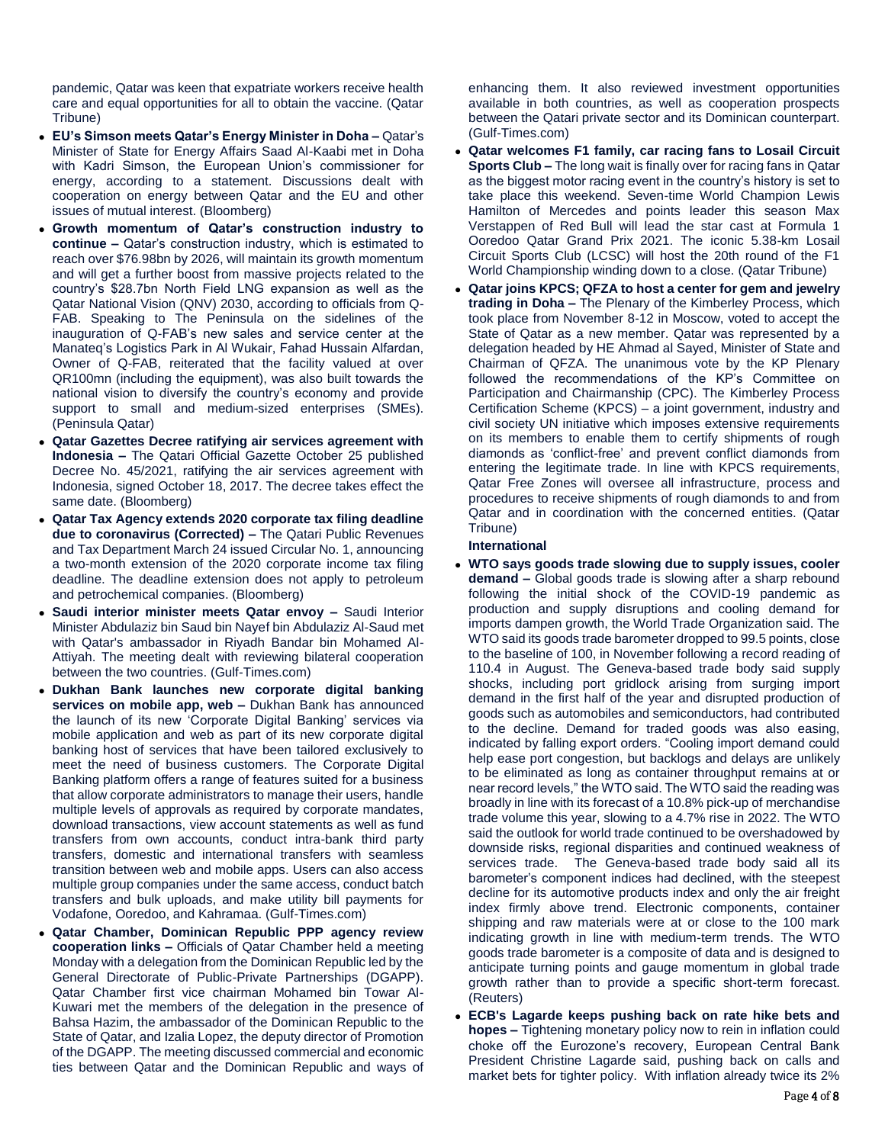pandemic, Qatar was keen that expatriate workers receive health care and equal opportunities for all to obtain the vaccine. (Qatar Tribune)

- **EU's Simson meets Qatar's Energy Minister in Doha –** Qatar's Minister of State for Energy Affairs Saad Al-Kaabi met in Doha with Kadri Simson, the European Union's commissioner for energy, according to a statement. Discussions dealt with cooperation on energy between Qatar and the EU and other issues of mutual interest. (Bloomberg)
- **Growth momentum of Qatar's construction industry to continue –** Qatar's construction industry, which is estimated to reach over \$76.98bn by 2026, will maintain its growth momentum and will get a further boost from massive projects related to the country's \$28.7bn North Field LNG expansion as well as the Qatar National Vision (QNV) 2030, according to officials from Q-FAB. Speaking to The Peninsula on the sidelines of the inauguration of Q-FAB's new sales and service center at the Manateq's Logistics Park in Al Wukair, Fahad Hussain Alfardan, Owner of Q-FAB, reiterated that the facility valued at over QR100mn (including the equipment), was also built towards the national vision to diversify the country's economy and provide support to small and medium-sized enterprises (SMEs). (Peninsula Qatar)
- **Qatar Gazettes Decree ratifying air services agreement with Indonesia –** The Qatari Official Gazette October 25 published Decree No. 45/2021, ratifying the air services agreement with Indonesia, signed October 18, 2017. The decree takes effect the same date. (Bloomberg)
- **Qatar Tax Agency extends 2020 corporate tax filing deadline due to coronavirus (Corrected) –** The Qatari Public Revenues and Tax Department March 24 issued Circular No. 1, announcing a two-month extension of the 2020 corporate income tax filing deadline. The deadline extension does not apply to petroleum and petrochemical companies. (Bloomberg)
- **Saudi interior minister meets Qatar envoy –** Saudi Interior Minister Abdulaziz bin Saud bin Nayef bin Abdulaziz Al-Saud met with Qatar's ambassador in Riyadh Bandar bin Mohamed Al-Attiyah. The meeting dealt with reviewing bilateral cooperation between the two countries. (Gulf-Times.com)
- **Dukhan Bank launches new corporate digital banking services on mobile app, web –** Dukhan Bank has announced the launch of its new 'Corporate Digital Banking' services via mobile application and web as part of its new corporate digital banking host of services that have been tailored exclusively to meet the need of business customers. The Corporate Digital Banking platform offers a range of features suited for a business that allow corporate administrators to manage their users, handle multiple levels of approvals as required by corporate mandates, download transactions, view account statements as well as fund transfers from own accounts, conduct intra-bank third party transfers, domestic and international transfers with seamless transition between web and mobile apps. Users can also access multiple group companies under the same access, conduct batch transfers and bulk uploads, and make utility bill payments for Vodafone, Ooredoo, and Kahramaa. (Gulf-Times.com)
- **Qatar Chamber, Dominican Republic PPP agency review cooperation links –** Officials of Qatar Chamber held a meeting Monday with a delegation from the Dominican Republic led by the General Directorate of Public-Private Partnerships (DGAPP). Qatar Chamber first vice chairman Mohamed bin Towar Al-Kuwari met the members of the delegation in the presence of Bahsa Hazim, the ambassador of the Dominican Republic to the State of Qatar, and Izalia Lopez, the deputy director of Promotion of the DGAPP. The meeting discussed commercial and economic ties between Qatar and the Dominican Republic and ways of

enhancing them. It also reviewed investment opportunities available in both countries, as well as cooperation prospects between the Qatari private sector and its Dominican counterpart. (Gulf-Times.com)

- **Qatar welcomes F1 family, car racing fans to Losail Circuit Sports Club –** The long wait is finally over for racing fans in Qatar as the biggest motor racing event in the country's history is set to take place this weekend. Seven-time World Champion Lewis Hamilton of Mercedes and points leader this season Max Verstappen of Red Bull will lead the star cast at Formula 1 Ooredoo Qatar Grand Prix 2021. The iconic 5.38-km Losail Circuit Sports Club (LCSC) will host the 20th round of the F1 World Championship winding down to a close. (Qatar Tribune)
- **Qatar joins KPCS; QFZA to host a center for gem and jewelry trading in Doha –** The Plenary of the Kimberley Process, which took place from November 8-12 in Moscow, voted to accept the State of Qatar as a new member. Qatar was represented by a delegation headed by HE Ahmad al Sayed, Minister of State and Chairman of QFZA. The unanimous vote by the KP Plenary followed the recommendations of the KP's Committee on Participation and Chairmanship (CPC). The Kimberley Process Certification Scheme (KPCS) – a joint government, industry and civil society UN initiative which imposes extensive requirements on its members to enable them to certify shipments of rough diamonds as 'conflict-free' and prevent conflict diamonds from entering the legitimate trade. In line with KPCS requirements, Qatar Free Zones will oversee all infrastructure, process and procedures to receive shipments of rough diamonds to and from Qatar and in coordination with the concerned entities. (Qatar Tribune)

# **International**

- **WTO says goods trade slowing due to supply issues, cooler demand –** Global goods trade is slowing after a sharp rebound following the initial shock of the COVID-19 pandemic as production and supply disruptions and cooling demand for imports dampen growth, the World Trade Organization said. The WTO said its goods trade barometer dropped to 99.5 points, close to the baseline of 100, in November following a record reading of 110.4 in August. The Geneva-based trade body said supply shocks, including port gridlock arising from surging import demand in the first half of the year and disrupted production of goods such as automobiles and semiconductors, had contributed to the decline. Demand for traded goods was also easing, indicated by falling export orders. "Cooling import demand could help ease port congestion, but backlogs and delays are unlikely to be eliminated as long as container throughput remains at or near record levels," the WTO said. The WTO said the reading was broadly in line with its forecast of a 10.8% pick-up of merchandise trade volume this year, slowing to a 4.7% rise in 2022. The WTO said the outlook for world trade continued to be overshadowed by downside risks, regional disparities and continued weakness of services trade. The Geneva-based trade body said all its barometer's component indices had declined, with the steepest decline for its automotive products index and only the air freight index firmly above trend. Electronic components, container shipping and raw materials were at or close to the 100 mark indicating growth in line with medium-term trends. The WTO goods trade barometer is a composite of data and is designed to anticipate turning points and gauge momentum in global trade growth rather than to provide a specific short-term forecast. (Reuters)
- **ECB's Lagarde keeps pushing back on rate hike bets and hopes –** Tightening monetary policy now to rein in inflation could choke off the Eurozone's recovery, European Central Bank President Christine Lagarde said, pushing back on calls and market bets for tighter policy. With inflation already twice its 2%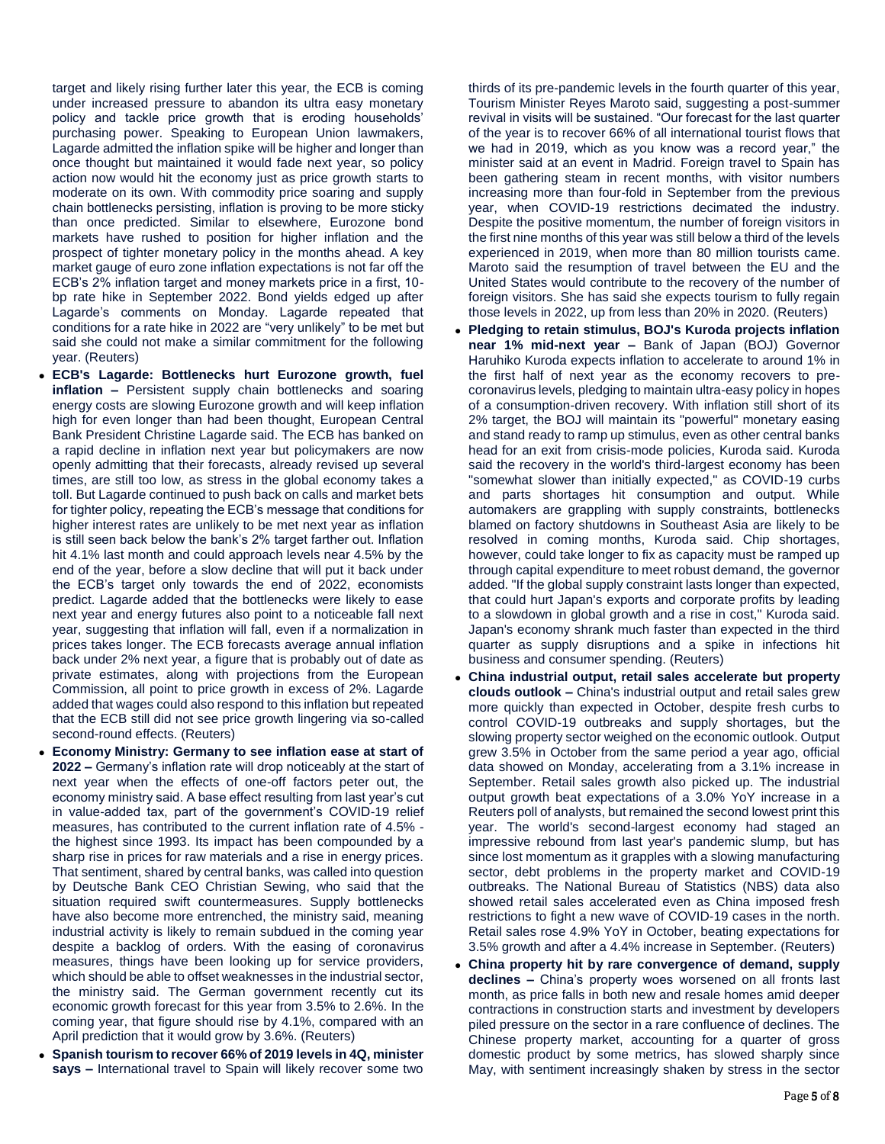target and likely rising further later this year, the ECB is coming under increased pressure to abandon its ultra easy monetary policy and tackle price growth that is eroding households' purchasing power. Speaking to European Union lawmakers, Lagarde admitted the inflation spike will be higher and longer than once thought but maintained it would fade next year, so policy action now would hit the economy just as price growth starts to moderate on its own. With commodity price soaring and supply chain bottlenecks persisting, inflation is proving to be more sticky than once predicted. Similar to elsewhere, Eurozone bond markets have rushed to position for higher inflation and the prospect of tighter monetary policy in the months ahead. A key market gauge of euro zone inflation expectations is not far off the ECB's 2% inflation target and money markets price in a first, 10 bp rate hike in September 2022. Bond yields edged up after Lagarde's comments on Monday. Lagarde repeated that conditions for a rate hike in 2022 are "very unlikely" to be met but said she could not make a similar commitment for the following year. (Reuters)

- **ECB's Lagarde: Bottlenecks hurt Eurozone growth, fuel inflation –** Persistent supply chain bottlenecks and soaring energy costs are slowing Eurozone growth and will keep inflation high for even longer than had been thought, European Central Bank President Christine Lagarde said. The ECB has banked on a rapid decline in inflation next year but policymakers are now openly admitting that their forecasts, already revised up several times, are still too low, as stress in the global economy takes a toll. But Lagarde continued to push back on calls and market bets for tighter policy, repeating the ECB's message that conditions for higher interest rates are unlikely to be met next year as inflation is still seen back below the bank's 2% target farther out. Inflation hit 4.1% last month and could approach levels near 4.5% by the end of the year, before a slow decline that will put it back under the ECB's target only towards the end of 2022, economists predict. Lagarde added that the bottlenecks were likely to ease next year and energy futures also point to a noticeable fall next year, suggesting that inflation will fall, even if a normalization in prices takes longer. The ECB forecasts average annual inflation back under 2% next year, a figure that is probably out of date as private estimates, along with projections from the European Commission, all point to price growth in excess of 2%. Lagarde added that wages could also respond to this inflation but repeated that the ECB still did not see price growth lingering via so-called second-round effects. (Reuters)
- **Economy Ministry: Germany to see inflation ease at start of 2022 –** Germany's inflation rate will drop noticeably at the start of next year when the effects of one-off factors peter out, the economy ministry said. A base effect resulting from last year's cut in value-added tax, part of the government's COVID-19 relief measures, has contributed to the current inflation rate of 4.5% the highest since 1993. Its impact has been compounded by a sharp rise in prices for raw materials and a rise in energy prices. That sentiment, shared by central banks, was called into question by Deutsche Bank CEO Christian Sewing, who said that the situation required swift countermeasures. Supply bottlenecks have also become more entrenched, the ministry said, meaning industrial activity is likely to remain subdued in the coming year despite a backlog of orders. With the easing of coronavirus measures, things have been looking up for service providers, which should be able to offset weaknesses in the industrial sector, the ministry said. The German government recently cut its economic growth forecast for this year from 3.5% to 2.6%. In the coming year, that figure should rise by 4.1%, compared with an April prediction that it would grow by 3.6%. (Reuters)
- **Spanish tourism to recover 66% of 2019 levels in 4Q, minister says –** International travel to Spain will likely recover some two

thirds of its pre-pandemic levels in the fourth quarter of this year, Tourism Minister Reyes Maroto said, suggesting a post-summer revival in visits will be sustained. "Our forecast for the last quarter of the year is to recover 66% of all international tourist flows that we had in 2019, which as you know was a record year," the minister said at an event in Madrid. Foreign travel to Spain has been gathering steam in recent months, with visitor numbers increasing more than four-fold in September from the previous year, when COVID-19 restrictions decimated the industry. Despite the positive momentum, the number of foreign visitors in the first nine months of this year was still below a third of the levels experienced in 2019, when more than 80 million tourists came. Maroto said the resumption of travel between the EU and the United States would contribute to the recovery of the number of foreign visitors. She has said she expects tourism to fully regain those levels in 2022, up from less than 20% in 2020. (Reuters)

- **Pledging to retain stimulus, BOJ's Kuroda projects inflation near 1% mid-next year –** Bank of Japan (BOJ) Governor Haruhiko Kuroda expects inflation to accelerate to around 1% in the first half of next year as the economy recovers to precoronavirus levels, pledging to maintain ultra-easy policy in hopes of a consumption-driven recovery. With inflation still short of its 2% target, the BOJ will maintain its "powerful" monetary easing and stand ready to ramp up stimulus, even as other central banks head for an exit from crisis-mode policies, Kuroda said. Kuroda said the recovery in the world's third-largest economy has been "somewhat slower than initially expected," as COVID-19 curbs and parts shortages hit consumption and output. While automakers are grappling with supply constraints, bottlenecks blamed on factory shutdowns in Southeast Asia are likely to be resolved in coming months, Kuroda said. Chip shortages, however, could take longer to fix as capacity must be ramped up through capital expenditure to meet robust demand, the governor added. "If the global supply constraint lasts longer than expected, that could hurt Japan's exports and corporate profits by leading to a slowdown in global growth and a rise in cost," Kuroda said. Japan's economy shrank much faster than expected in the third quarter as supply disruptions and a spike in infections hit business and consumer spending. (Reuters)
- **China industrial output, retail sales accelerate but property clouds outlook –** China's industrial output and retail sales grew more quickly than expected in October, despite fresh curbs to control COVID-19 outbreaks and supply shortages, but the slowing property sector weighed on the economic outlook. Output grew 3.5% in October from the same period a year ago, official data showed on Monday, accelerating from a 3.1% increase in September. Retail sales growth also picked up. The industrial output growth beat expectations of a 3.0% YoY increase in a Reuters poll of analysts, but remained the second lowest print this year. The world's second-largest economy had staged an impressive rebound from last year's pandemic slump, but has since lost momentum as it grapples with a slowing manufacturing sector, debt problems in the property market and COVID-19 outbreaks. The National Bureau of Statistics (NBS) data also showed retail sales accelerated even as China imposed fresh restrictions to fight a new wave of COVID-19 cases in the north. Retail sales rose 4.9% YoY in October, beating expectations for 3.5% growth and after a 4.4% increase in September. (Reuters)
- **China property hit by rare convergence of demand, supply declines –** China's property woes worsened on all fronts last month, as price falls in both new and resale homes amid deeper contractions in construction starts and investment by developers piled pressure on the sector in a rare confluence of declines. The Chinese property market, accounting for a quarter of gross domestic product by some metrics, has slowed sharply since May, with sentiment increasingly shaken by stress in the sector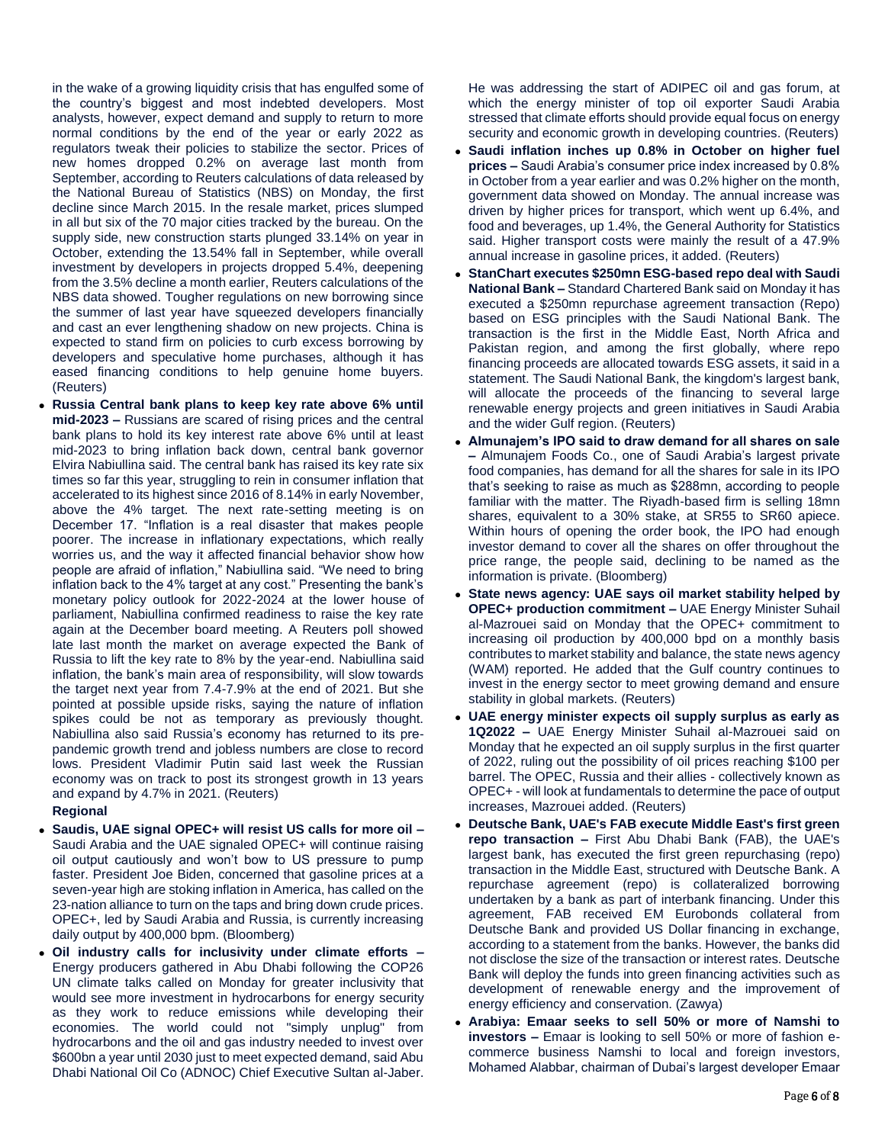in the wake of a growing liquidity crisis that has engulfed some of the country's biggest and most indebted developers. Most analysts, however, expect demand and supply to return to more normal conditions by the end of the year or early 2022 as regulators tweak their policies to stabilize the sector. Prices of new homes dropped 0.2% on average last month from September, according to Reuters calculations of data released by the National Bureau of Statistics (NBS) on Monday, the first decline since March 2015. In the resale market, prices slumped in all but six of the 70 major cities tracked by the bureau. On the supply side, new construction starts plunged 33.14% on year in October, extending the 13.54% fall in September, while overall investment by developers in projects dropped 5.4%, deepening from the 3.5% decline a month earlier, Reuters calculations of the NBS data showed. Tougher regulations on new borrowing since the summer of last year have squeezed developers financially and cast an ever lengthening shadow on new projects. China is expected to stand firm on policies to curb excess borrowing by developers and speculative home purchases, although it has eased financing conditions to help genuine home buyers. (Reuters)

 **Russia Central bank plans to keep key rate above 6% until mid-2023 –** Russians are scared of rising prices and the central bank plans to hold its key interest rate above 6% until at least mid-2023 to bring inflation back down, central bank governor Elvira Nabiullina said. The central bank has raised its key rate six times so far this year, struggling to rein in consumer inflation that accelerated to its highest since 2016 of 8.14% in early November, above the 4% target. The next rate-setting meeting is on December 17. "Inflation is a real disaster that makes people poorer. The increase in inflationary expectations, which really worries us, and the way it affected financial behavior show how people are afraid of inflation," Nabiullina said. "We need to bring inflation back to the 4% target at any cost." Presenting the bank's monetary policy outlook for 2022-2024 at the lower house of parliament, Nabiullina confirmed readiness to raise the key rate again at the December board meeting. A Reuters poll showed late last month the market on average expected the Bank of Russia to lift the key rate to 8% by the year-end. Nabiullina said inflation, the bank's main area of responsibility, will slow towards the target next year from 7.4-7.9% at the end of 2021. But she pointed at possible upside risks, saying the nature of inflation spikes could be not as temporary as previously thought. Nabiullina also said Russia's economy has returned to its prepandemic growth trend and jobless numbers are close to record lows. President Vladimir Putin said last week the Russian economy was on track to post its strongest growth in 13 years and expand by 4.7% in 2021. (Reuters)

# **Regional**

- **Saudis, UAE signal OPEC+ will resist US calls for more oil –** Saudi Arabia and the UAE signaled OPEC+ will continue raising oil output cautiously and won't bow to US pressure to pump faster. President Joe Biden, concerned that gasoline prices at a seven-year high are stoking inflation in America, has called on the 23-nation alliance to turn on the taps and bring down crude prices. OPEC+, led by Saudi Arabia and Russia, is currently increasing daily output by 400,000 bpm. (Bloomberg)
- **Oil industry calls for inclusivity under climate efforts –** Energy producers gathered in Abu Dhabi following the COP26 UN climate talks called on Monday for greater inclusivity that would see more investment in hydrocarbons for energy security as they work to reduce emissions while developing their economies. The world could not "simply unplug" from hydrocarbons and the oil and gas industry needed to invest over \$600bn a year until 2030 just to meet expected demand, said Abu Dhabi National Oil Co (ADNOC) Chief Executive Sultan al-Jaber.

He was addressing the start of ADIPEC oil and gas forum, at which the energy minister of top oil exporter Saudi Arabia stressed that climate efforts should provide equal focus on energy security and economic growth in developing countries. (Reuters)

- **Saudi inflation inches up 0.8% in October on higher fuel prices –** Saudi Arabia's consumer price index increased by 0.8% in October from a year earlier and was 0.2% higher on the month, government data showed on Monday. The annual increase was driven by higher prices for transport, which went up 6.4%, and food and beverages, up 1.4%, the General Authority for Statistics said. Higher transport costs were mainly the result of a 47.9% annual increase in gasoline prices, it added. (Reuters)
- **StanChart executes \$250mn ESG-based repo deal with Saudi National Bank –** Standard Chartered Bank said on Monday it has executed a \$250mn repurchase agreement transaction (Repo) based on ESG principles with the Saudi National Bank. The transaction is the first in the Middle East, North Africa and Pakistan region, and among the first globally, where repo financing proceeds are allocated towards ESG assets, it said in a statement. The Saudi National Bank, the kingdom's largest bank, will allocate the proceeds of the financing to several large renewable energy projects and green initiatives in Saudi Arabia and the wider Gulf region. (Reuters)
- **Almunajem's IPO said to draw demand for all shares on sale –** Almunajem Foods Co., one of Saudi Arabia's largest private food companies, has demand for all the shares for sale in its IPO that's seeking to raise as much as \$288mn, according to people familiar with the matter. The Riyadh-based firm is selling 18mn shares, equivalent to a 30% stake, at SR55 to SR60 apiece. Within hours of opening the order book, the IPO had enough investor demand to cover all the shares on offer throughout the price range, the people said, declining to be named as the information is private. (Bloomberg)
- **State news agency: UAE says oil market stability helped by OPEC+ production commitment –** UAE Energy Minister Suhail al-Mazrouei said on Monday that the OPEC+ commitment to increasing oil production by 400,000 bpd on a monthly basis contributes to market stability and balance, the state news agency (WAM) reported. He added that the Gulf country continues to invest in the energy sector to meet growing demand and ensure stability in global markets. (Reuters)
- **UAE energy minister expects oil supply surplus as early as 1Q2022 –** UAE Energy Minister Suhail al-Mazrouei said on Monday that he expected an oil supply surplus in the first quarter of 2022, ruling out the possibility of oil prices reaching \$100 per barrel. The OPEC, Russia and their allies - collectively known as OPEC+ - will look at fundamentals to determine the pace of output increases, Mazrouei added. (Reuters)
- **Deutsche Bank, UAE's FAB execute Middle East's first green repo transaction –** First Abu Dhabi Bank (FAB), the UAE's largest bank, has executed the first green repurchasing (repo) transaction in the Middle East, structured with Deutsche Bank. A repurchase agreement (repo) is collateralized borrowing undertaken by a bank as part of interbank financing. Under this agreement, FAB received EM Eurobonds collateral from Deutsche Bank and provided US Dollar financing in exchange, according to a statement from the banks. However, the banks did not disclose the size of the transaction or interest rates. Deutsche Bank will deploy the funds into green financing activities such as development of renewable energy and the improvement of energy efficiency and conservation. (Zawya)
- **Arabiya: Emaar seeks to sell 50% or more of Namshi to investors –** Emaar is looking to sell 50% or more of fashion ecommerce business Namshi to local and foreign investors, Mohamed Alabbar, chairman of Dubai's largest developer Emaar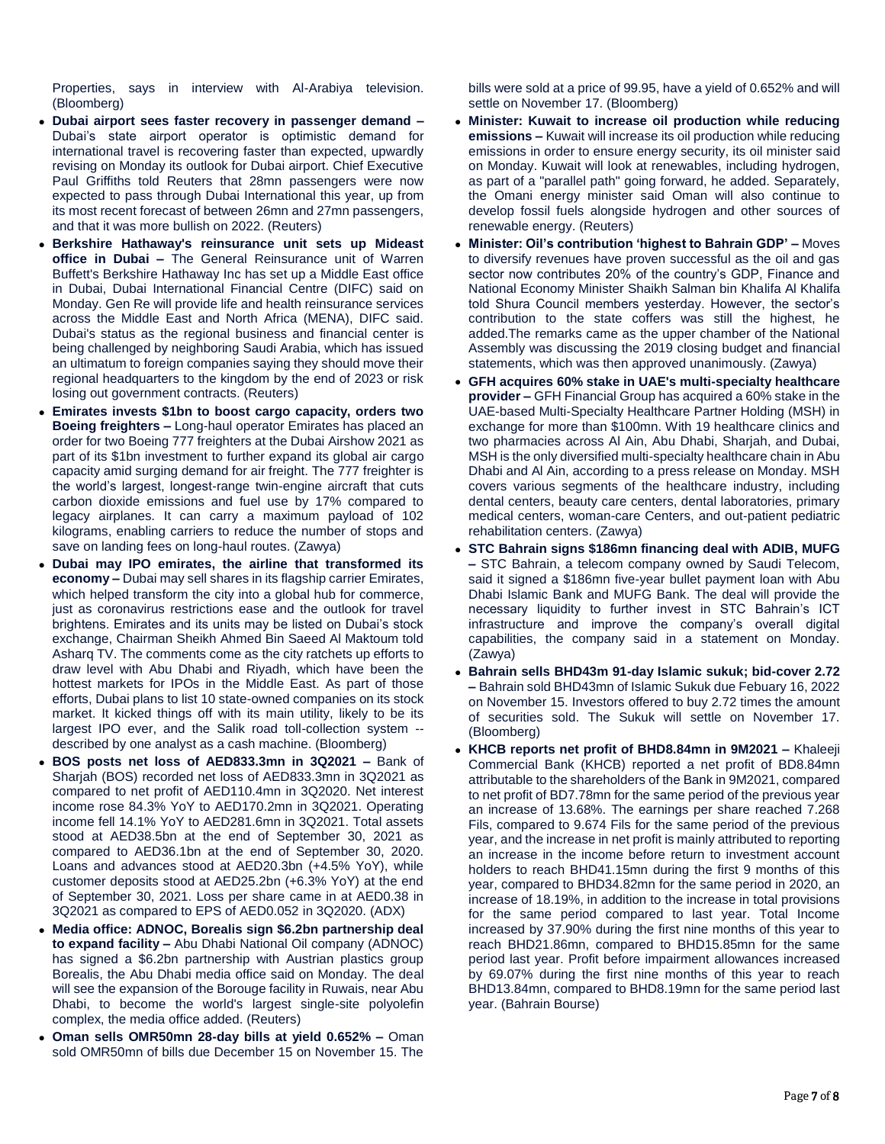Properties, says in interview with Al-Arabiya television. (Bloomberg)

- **Dubai airport sees faster recovery in passenger demand –** Dubai's state airport operator is optimistic demand for international travel is recovering faster than expected, upwardly revising on Monday its outlook for Dubai airport. Chief Executive Paul Griffiths told Reuters that 28mn passengers were now expected to pass through Dubai International this year, up from its most recent forecast of between 26mn and 27mn passengers, and that it was more bullish on 2022. (Reuters)
- **Berkshire Hathaway's reinsurance unit sets up Mideast office in Dubai –** The General Reinsurance unit of Warren Buffett's Berkshire Hathaway Inc has set up a Middle East office in Dubai, Dubai International Financial Centre (DIFC) said on Monday. Gen Re will provide life and health reinsurance services across the Middle East and North Africa (MENA), DIFC said. Dubai's status as the regional business and financial center is being challenged by neighboring Saudi Arabia, which has issued an ultimatum to foreign companies saying they should move their regional headquarters to the kingdom by the end of 2023 or risk losing out government contracts. (Reuters)
- **Emirates invests \$1bn to boost cargo capacity, orders two Boeing freighters –** Long-haul operator Emirates has placed an order for two Boeing 777 freighters at the Dubai Airshow 2021 as part of its \$1bn investment to further expand its global air cargo capacity amid surging demand for air freight. The 777 freighter is the world's largest, longest-range twin-engine aircraft that cuts carbon dioxide emissions and fuel use by 17% compared to legacy airplanes. It can carry a maximum payload of 102 kilograms, enabling carriers to reduce the number of stops and save on landing fees on long-haul routes. (Zawya)
- **Dubai may IPO emirates, the airline that transformed its economy –** Dubai may sell shares in its flagship carrier Emirates, which helped transform the city into a global hub for commerce, just as coronavirus restrictions ease and the outlook for travel brightens. Emirates and its units may be listed on Dubai's stock exchange, Chairman Sheikh Ahmed Bin Saeed Al Maktoum told Asharq TV. The comments come as the city ratchets up efforts to draw level with Abu Dhabi and Riyadh, which have been the hottest markets for IPOs in the Middle East. As part of those efforts, Dubai plans to list 10 state-owned companies on its stock market. It kicked things off with its main utility, likely to be its largest IPO ever, and the Salik road toll-collection system - described by one analyst as a cash machine. (Bloomberg)
- **BOS posts net loss of AED833.3mn in 3Q2021 –** Bank of Sharjah (BOS) recorded net loss of AED833.3mn in 3Q2021 as compared to net profit of AED110.4mn in 3Q2020. Net interest income rose 84.3% YoY to AED170.2mn in 3Q2021. Operating income fell 14.1% YoY to AED281.6mn in 3Q2021. Total assets stood at AED38.5bn at the end of September 30, 2021 as compared to AED36.1bn at the end of September 30, 2020. Loans and advances stood at AED20.3bn (+4.5% YoY), while customer deposits stood at AED25.2bn (+6.3% YoY) at the end of September 30, 2021. Loss per share came in at AED0.38 in 3Q2021 as compared to EPS of AED0.052 in 3Q2020. (ADX)
- **Media office: ADNOC, Borealis sign \$6.2bn partnership deal to expand facility –** Abu Dhabi National Oil company (ADNOC) has signed a \$6.2bn partnership with Austrian plastics group Borealis, the Abu Dhabi media office said on Monday. The deal will see the expansion of the Borouge facility in Ruwais, near Abu Dhabi, to become the world's largest single-site polyolefin complex, the media office added. (Reuters)
- **Oman sells OMR50mn 28-day bills at yield 0.652% –** Oman sold OMR50mn of bills due December 15 on November 15. The

bills were sold at a price of 99.95, have a yield of 0.652% and will settle on November 17. (Bloomberg)

- **Minister: Kuwait to increase oil production while reducing emissions –** Kuwait will increase its oil production while reducing emissions in order to ensure energy security, its oil minister said on Monday. Kuwait will look at renewables, including hydrogen, as part of a "parallel path" going forward, he added. Separately, the Omani energy minister said Oman will also continue to develop fossil fuels alongside hydrogen and other sources of renewable energy. (Reuters)
- **Minister: Oil's contribution 'highest to Bahrain GDP' –** Moves to diversify revenues have proven successful as the oil and gas sector now contributes 20% of the country's GDP, Finance and National Economy Minister Shaikh Salman bin Khalifa Al Khalifa told Shura Council members yesterday. However, the sector's contribution to the state coffers was still the highest, he added.The remarks came as the upper chamber of the National Assembly was discussing the 2019 closing budget and financial statements, which was then approved unanimously. (Zawya)
- **GFH acquires 60% stake in UAE's multi-specialty healthcare provider –** GFH Financial Group has acquired a 60% stake in the UAE-based Multi-Specialty Healthcare Partner Holding (MSH) in exchange for more than \$100mn. With 19 healthcare clinics and two pharmacies across Al Ain, Abu Dhabi, Sharjah, and Dubai, MSH is the only diversified multi-specialty healthcare chain in Abu Dhabi and Al Ain, according to a press release on Monday. MSH covers various segments of the healthcare industry, including dental centers, beauty care centers, dental laboratories, primary medical centers, woman-care Centers, and out-patient pediatric rehabilitation centers. (Zawya)
- **STC Bahrain signs \$186mn financing deal with ADIB, MUFG –** STC Bahrain, a telecom company owned by Saudi Telecom, said it signed a \$186mn five-year bullet payment loan with Abu Dhabi Islamic Bank and MUFG Bank. The deal will provide the necessary liquidity to further invest in STC Bahrain's ICT infrastructure and improve the company's overall digital capabilities, the company said in a statement on Monday. (Zawya)
- **Bahrain sells BHD43m 91-day Islamic sukuk; bid-cover 2.72 –** Bahrain sold BHD43mn of Islamic Sukuk due Febuary 16, 2022 on November 15. Investors offered to buy 2.72 times the amount of securities sold. The Sukuk will settle on November 17. (Bloomberg)
- **KHCB reports net profit of BHD8.84mn in 9M2021 –** Khaleeji Commercial Bank (KHCB) reported a net profit of BD8.84mn attributable to the shareholders of the Bank in 9M2021, compared to net profit of BD7.78mn for the same period of the previous year an increase of 13.68%. The earnings per share reached 7.268 Fils, compared to 9.674 Fils for the same period of the previous year, and the increase in net profit is mainly attributed to reporting an increase in the income before return to investment account holders to reach BHD41.15mn during the first 9 months of this year, compared to BHD34.82mn for the same period in 2020, an increase of 18.19%, in addition to the increase in total provisions for the same period compared to last year. Total Income increased by 37.90% during the first nine months of this year to reach BHD21.86mn, compared to BHD15.85mn for the same period last year. Profit before impairment allowances increased by 69.07% during the first nine months of this year to reach BHD13.84mn, compared to BHD8.19mn for the same period last year. (Bahrain Bourse)